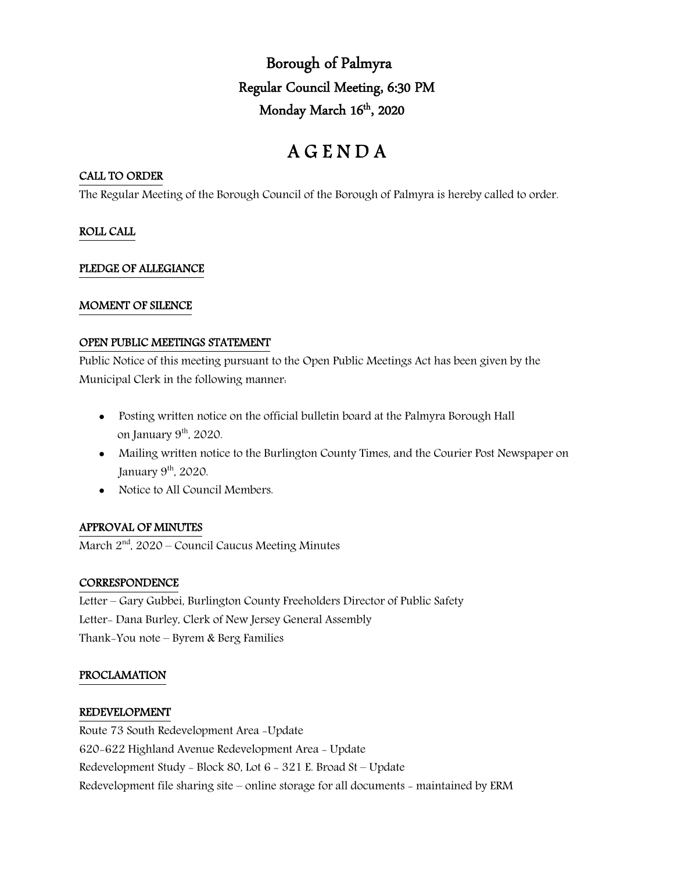Borough of Palmyra Regular Council Meeting, 6:30 PM Monday March 16<sup>th</sup>, 2020

# A G E N D A

## CALL TO ORDER

The Regular Meeting of the Borough Council of the Borough of Palmyra is hereby called to order.

## ROLL CALL

## PLEDGE OF ALLEGIANCE

## MOMENT OF SILENCE

#### OPEN PUBLIC MEETINGS STATEMENT

Public Notice of this meeting pursuant to the Open Public Meetings Act has been given by the Municipal Clerk in the following manner:

- Posting written notice on the official bulletin board at the Palmyra Borough Hall on January 9<sup>th</sup>, 2020.
- Mailing written notice to the Burlington County Times, and the Courier Post Newspaper on January  $9<sup>th</sup>$ , 2020.
- Notice to All Council Members.

# APPROVAL OF MINUTES

March 2<sup>nd</sup>, 2020 – Council Caucus Meeting Minutes

# **CORRESPONDENCE**

Letter – Gary Gubbei, Burlington County Freeholders Director of Public Safety Letter- Dana Burley, Clerk of New Jersey General Assembly Thank-You note – Byrem & Berg Families

# PROCLAMATION

#### REDEVELOPMENT

Route 73 South Redevelopment Area -Update 620-622 Highland Avenue Redevelopment Area - Update Redevelopment Study - Block 80, Lot 6 - 321 E. Broad St – Update Redevelopment file sharing site – online storage for all documents - maintained by ERM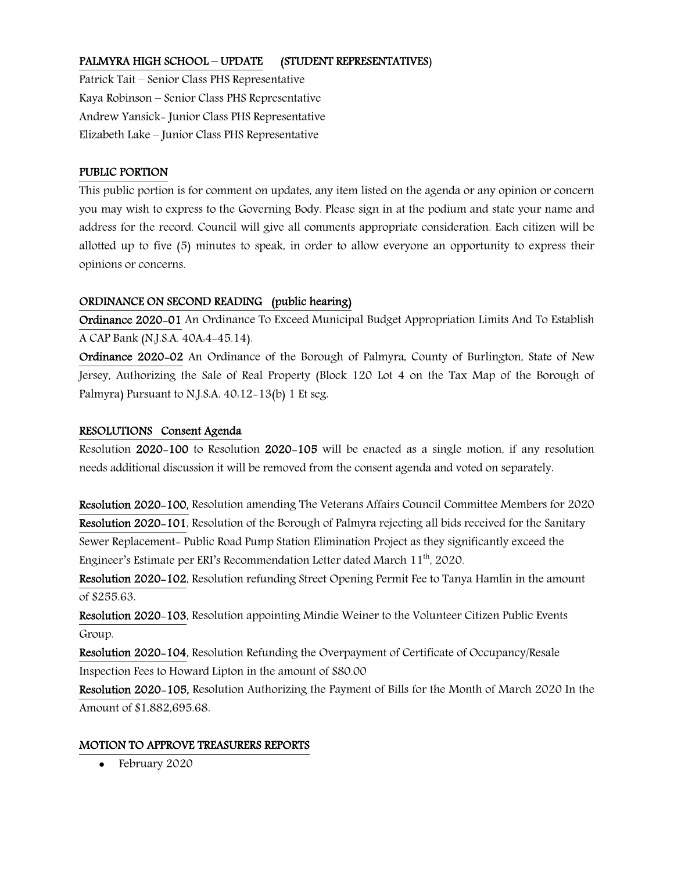# PALMYRA HIGH SCHOOL – UPDATE (STUDENT REPRESENTATIVES)

Patrick Tait – Senior Class PHS Representative Kaya Robinson – Senior Class PHS Representative Andrew Yansick- Junior Class PHS Representative Elizabeth Lake – Junior Class PHS Representative

## PUBLIC PORTION

This public portion is for comment on updates, any item listed on the agenda or any opinion or concern you may wish to express to the Governing Body. Please sign in at the podium and state your name and address for the record. Council will give all comments appropriate consideration. Each citizen will be allotted up to five (5) minutes to speak, in order to allow everyone an opportunity to express their opinions or concerns.

## ORDINANCE ON SECOND READING (public hearing)

Ordinance 2020-01 An Ordinance To Exceed Municipal Budget Appropriation Limits And To Establish A CAP Bank (N.J.S.A. 40A:4-45.14).

Ordinance 2020-02 An Ordinance of the Borough of Palmyra, County of Burlington, State of New Jersey, Authorizing the Sale of Real Property (Block 120 Lot 4 on the Tax Map of the Borough of Palmyra) Pursuant to N.J.S.A. 40:12-13(b) 1 Et seg.

#### RESOLUTIONS Consent Agenda

Resolution 2020-100 to Resolution 2020-105 will be enacted as a single motion, if any resolution needs additional discussion it will be removed from the consent agenda and voted on separately.

Resolution 2020-100, Resolution amending The Veterans Affairs Council Committee Members for 2020 Resolution 2020-101, Resolution of the Borough of Palmyra rejecting all bids received for the Sanitary Sewer Replacement- Public Road Pump Station Elimination Project as they significantly exceed the Engineer's Estimate per ERI's Recommendation Letter dated March 11<sup>th</sup>, 2020.

Resolution 2020-102, Resolution refunding Street Opening Permit Fee to Tanya Hamlin in the amount of \$255.63.

Resolution 2020-103, Resolution appointing Mindie Weiner to the Volunteer Citizen Public Events Group.

Resolution 2020-104, Resolution Refunding the Overpayment of Certificate of Occupancy/Resale Inspection Fees to Howard Lipton in the amount of \$80.00

Resolution 2020-105, Resolution Authorizing the Payment of Bills for the Month of March 2020 In the Amount of \$1,882,695.68.

# MOTION TO APPROVE TREASURERS REPORTS

• February 2020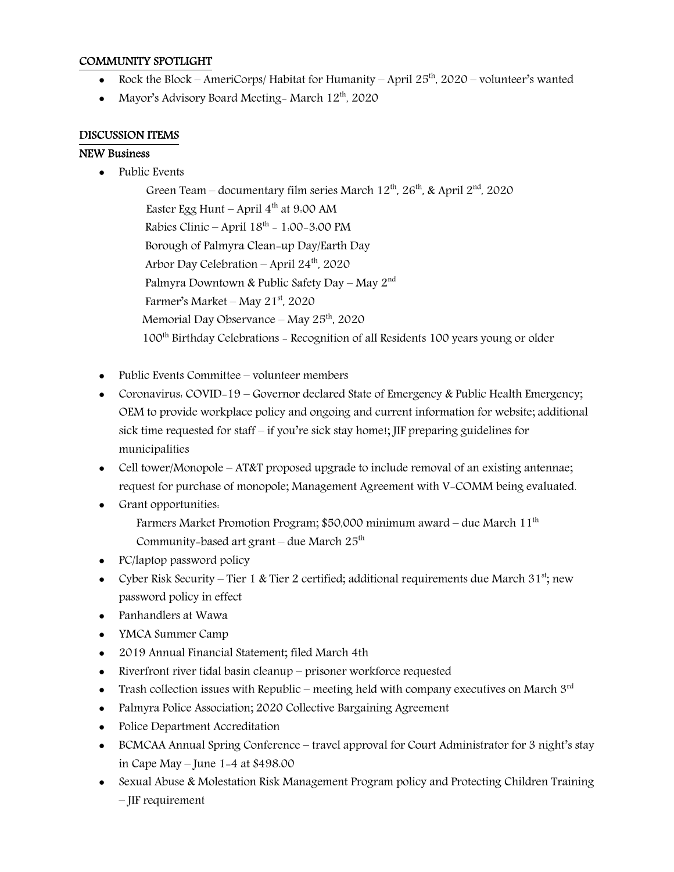## COMMUNITY SPOTLIGHT

- Rock the Block AmeriCorps/ Habitat for Humanity April  $25<sup>th</sup>$ , 2020 volunteer's wanted
- Mayor's Advisory Board Meeting- March  $12^{th}$ , 2020

#### DISCUSSION ITEMS

#### NEW Business

• Public Events

Green Team – documentary film series March  $12^{\text{th}}$ ,  $26^{\text{th}}$ , & April  $2^{\text{nd}}$ , 2020 Easter Egg Hunt – April  $4^{th}$  at 9:00 AM Rabies Clinic – April  $18^{th}$  – 1:00-3:00 PM Borough of Palmyra Clean-up Day/Earth Day Arbor Day Celebration – April  $24<sup>th</sup>$ , 2020 Palmyra Downtown & Public Safety Day – May 2nd Farmer's Market – May  $21<sup>st</sup>$ , 2020 Memorial Day Observance – May  $25<sup>th</sup>$ , 2020 100th Birthday Celebrations - Recognition of all Residents 100 years young or older

- Public Events Committee volunteer members
- Coronavirus: COVID-19 Governor declared State of Emergency & Public Health Emergency; OEM to provide workplace policy and ongoing and current information for website; additional sick time requested for staff – if you're sick stay home!; JIF preparing guidelines for municipalities
- Cell tower/Monopole AT&T proposed upgrade to include removal of an existing antennae; request for purchase of monopole; Management Agreement with V-COMM being evaluated.
- Grant opportunities: Farmers Market Promotion Program; \$50,000 minimum award – due March  $11<sup>th</sup>$ Community-based art grant – due March  $25<sup>th</sup>$
- PC/laptop password policy
- Cyber Risk Security Tier 1 & Tier 2 certified; additional requirements due March  $31^{st}$ ; new password policy in effect
- Panhandlers at Wawa
- YMCA Summer Camp
- 2019 Annual Financial Statement; filed March 4th
- Riverfront river tidal basin cleanup prisoner workforce requested
- Trash collection issues with Republic meeting held with company executives on March  $3<sup>rd</sup>$
- Palmyra Police Association; 2020 Collective Bargaining Agreement
- Police Department Accreditation
- BCMCAA Annual Spring Conference travel approval for Court Administrator for 3 night's stay in Cape May – June 1-4 at \$498.00
- Sexual Abuse & Molestation Risk Management Program policy and Protecting Children Training – JIF requirement